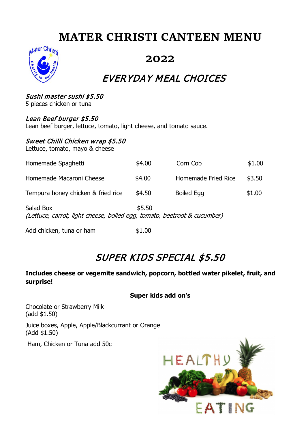# **MATER CHRISTI CANTEEN MENU**



### **2022**

### EVERYDAY MEAL CHOICES

#### Sushi master sushi \$5.50 5 pieces chicken or tuna

#### Lean Beef burger \$5.50

Lean beef burger, lettuce, tomato, light cheese, and tomato sauce.

#### Sweet Chilli Chicken wrap \$5.50

Lettuce, tomato, mayo & cheese

| Homemade Spaghetti                                                                              | \$4.00 | Corn Cob            | \$1.00 |  |
|-------------------------------------------------------------------------------------------------|--------|---------------------|--------|--|
| Homemade Macaroni Cheese                                                                        | \$4.00 | Homemade Fried Rice | \$3.50 |  |
| Tempura honey chicken & fried rice                                                              | \$4.50 | <b>Boiled Egg</b>   | \$1.00 |  |
| Salad Box<br>\$5.50<br>(Lettuce, carrot, light cheese, boiled egg, tomato, beetroot & cucumber) |        |                     |        |  |
| Add chicken, tuna or ham                                                                        | \$1.00 |                     |        |  |

### SUPER KIDS SPECIAL \$5.50

#### **Includes cheese or vegemite sandwich, popcorn, bottled water pikelet, fruit, and surprise!**

#### **Super kids add on's**

Chocolate or Strawberry Milk (add \$1.50)

Juice boxes, Apple, Apple/Blackcurrant or Orange (Add \$1.50)

Ham, Chicken or Tuna add 50c